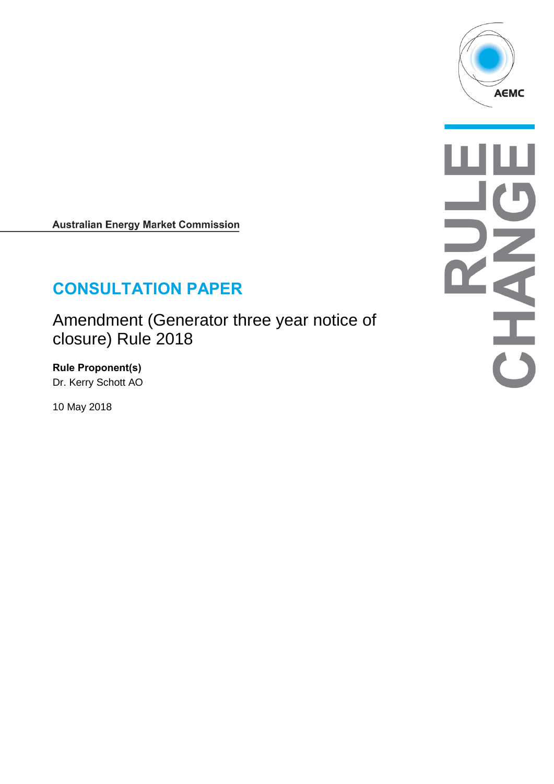

**Australian Energy Market Commission** 

# **CONSULTATION PAPER**

Amendment (Generator three year notice of closure) Rule 2018

**Rule Proponent(s)** Dr. Kerry Schott AO

10 May 2018

AHAHA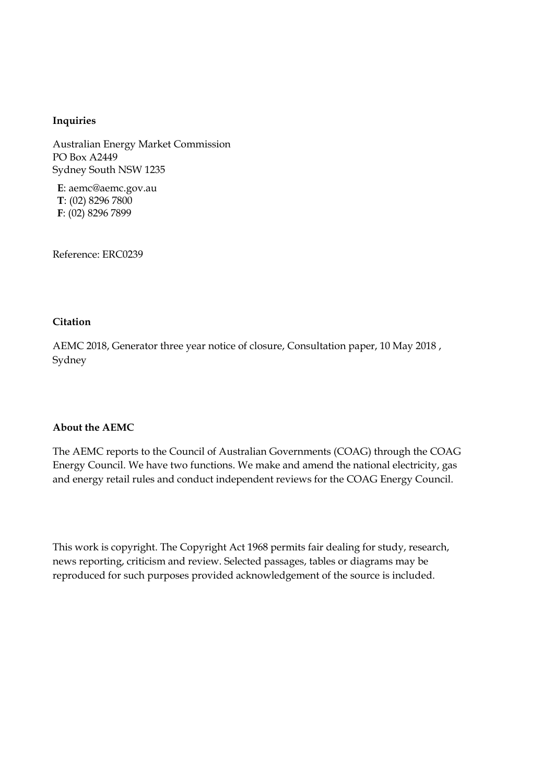#### **Inquiries**

Australian Energy Market Commission PO Box A2449 Sydney South NSW 1235

**E**: aemc@aemc.gov.au **T**: (02) 8296 7800 **F**: (02) 8296 7899

Reference: ERC0239

#### **Citation**

AEMC 2018, Generator three year notice of closure, Consultation paper, 10 May 2018 , Sydney

#### **About the AEMC**

The AEMC reports to the Council of Australian Governments (COAG) through the COAG Energy Council. We have two functions. We make and amend the national electricity, gas and energy retail rules and conduct independent reviews for the COAG Energy Council.

This work is copyright. The Copyright Act 1968 permits fair dealing for study, research, news reporting, criticism and review. Selected passages, tables or diagrams may be reproduced for such purposes provided acknowledgement of the source is included.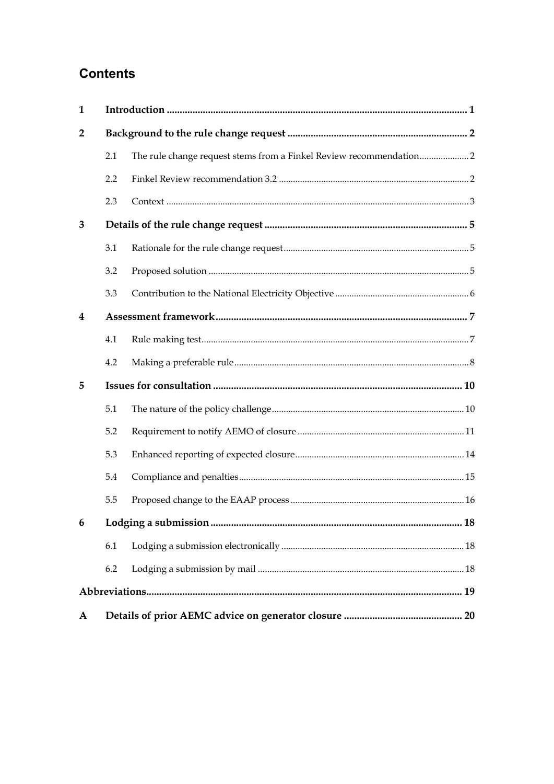## **Contents**

| 1               |     |                                                                    |  |  |
|-----------------|-----|--------------------------------------------------------------------|--|--|
| $\overline{2}$  |     |                                                                    |  |  |
|                 | 2.1 | The rule change request stems from a Finkel Review recommendation2 |  |  |
|                 | 2.2 |                                                                    |  |  |
|                 | 2.3 |                                                                    |  |  |
| 3               |     |                                                                    |  |  |
|                 | 3.1 |                                                                    |  |  |
|                 | 3.2 |                                                                    |  |  |
|                 | 3.3 |                                                                    |  |  |
| 4               |     |                                                                    |  |  |
|                 | 4.1 |                                                                    |  |  |
|                 | 4.2 |                                                                    |  |  |
| 5               |     |                                                                    |  |  |
|                 | 5.1 |                                                                    |  |  |
|                 | 5.2 |                                                                    |  |  |
|                 | 5.3 |                                                                    |  |  |
|                 | 5.4 |                                                                    |  |  |
|                 | 5.5 |                                                                    |  |  |
| $6\overline{6}$ |     |                                                                    |  |  |
|                 | 6.1 |                                                                    |  |  |
|                 | 6.2 |                                                                    |  |  |
|                 |     |                                                                    |  |  |
| A               |     |                                                                    |  |  |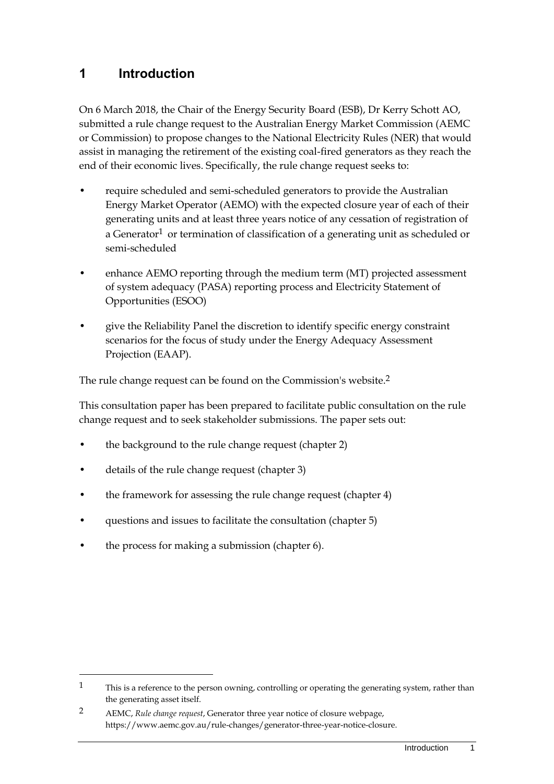## <span id="page-4-0"></span>**1 Introduction**

On 6 March 2018, the Chair of the Energy Security Board (ESB), Dr Kerry Schott AO, submitted a rule change request to the Australian Energy Market Commission (AEMC or Commission) to propose changes to the National Electricity Rules (NER) that would assist in managing the retirement of the existing coal-fired generators as they reach the end of their economic lives. Specifically, the rule change request seeks to:

- require scheduled and semi-scheduled generators to provide the Australian Energy Market Operator (AEMO) with the expected closure year of each of their generating units and at least three years notice of any cessation of registration of a Generator<sup>1</sup> or termination of classification of a generating unit as scheduled or semi-scheduled
- enhance AEMO reporting through the medium term (MT) projected assessment of system adequacy (PASA) reporting process and Electricity Statement of Opportunities (ESOO)
- give the Reliability Panel the discretion to identify specific energy constraint scenarios for the focus of study under the Energy Adequacy Assessment Projection (EAAP).

The rule change request can be found on the Commission's website.2

This consultation paper has been prepared to facilitate public consultation on the rule change request and to seek stakeholder submissions. The paper sets out:

- the background to the rule change request (chapter 2)
- details of the rule change request (chapter 3)
- the framework for assessing the rule change request (chapter 4)
- questions and issues to facilitate the consultation (chapter 5)
- the process for making a submission (chapter 6).

 $1$  This is a reference to the person owning, controlling or operating the generating system, rather than the generating asset itself.

<sup>2</sup> AEMC, *Rule change request*, Generator three year notice of closure webpage, https://www.aemc.gov.au/rule-changes/generator-three-year-notice-closure.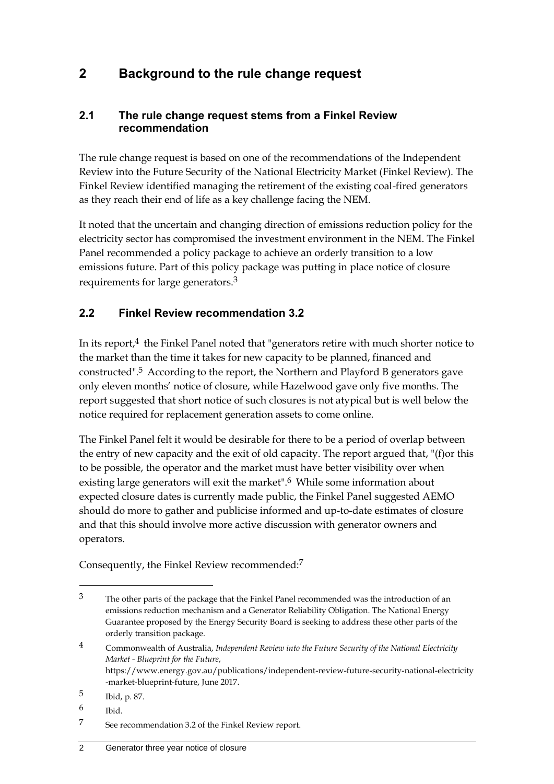## <span id="page-5-0"></span>**2 Background to the rule change request**

#### <span id="page-5-1"></span>**2.1 The rule change request stems from a Finkel Review recommendation**

The rule change request is based on one of the recommendations of the Independent Review into the Future Security of the National Electricity Market (Finkel Review). The Finkel Review identified managing the retirement of the existing coal-fired generators as they reach their end of life as a key challenge facing the NEM.

It noted that the uncertain and changing direction of emissions reduction policy for the electricity sector has compromised the investment environment in the NEM. The Finkel Panel recommended a policy package to achieve an orderly transition to a low emissions future. Part of this policy package was putting in place notice of closure requirements for large generators.3

### <span id="page-5-2"></span>**2.2 Finkel Review recommendation 3.2**

In its report, $4$  the Finkel Panel noted that "generators retire with much shorter notice to the market than the time it takes for new capacity to be planned, financed and constructed".5 According to the report, the Northern and Playford B generators gave only eleven months' notice of closure, while Hazelwood gave only five months. The report suggested that short notice of such closures is not atypical but is well below the notice required for replacement generation assets to come online.

The Finkel Panel felt it would be desirable for there to be a period of overlap between the entry of new capacity and the exit of old capacity. The report argued that, "(f)or this to be possible, the operator and the market must have better visibility over when existing large generators will exit the market".<sup>6</sup> While some information about expected closure dates is currently made public, the Finkel Panel suggested AEMO should do more to gather and publicise informed and up-to-date estimates of closure and that this should involve more active discussion with generator owners and operators.

Consequently, the Finkel Review recommended:7

<sup>3</sup> The other parts of the package that the Finkel Panel recommended was the introduction of an emissions reduction mechanism and a Generator Reliability Obligation. The National Energy Guarantee proposed by the Energy Security Board is seeking to address these other parts of the orderly transition package.

<sup>4</sup> Commonwealth of Australia, *Independent Review into the Future Security of the National Electricity Market - Blueprint for the Future*, https://www.energy.gov.au/publications/independent-review-future-security-national-electricity -market-blueprint-future, June 2017.

<sup>5</sup> Ibid, p. 87.

<sup>6</sup> Ibid.

<sup>7</sup> See recommendation 3.2 of the Finkel Review report.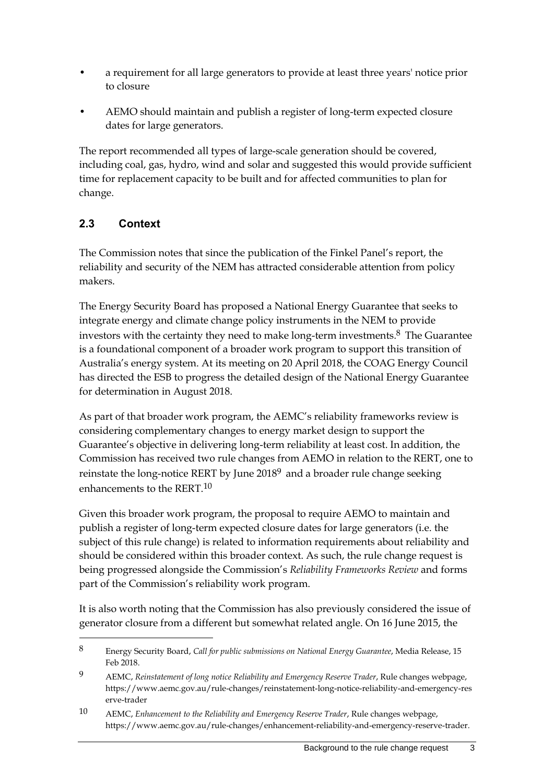- a requirement for all large generators to provide at least three years' notice prior to closure
- AEMO should maintain and publish a register of long-term expected closure dates for large generators.

The report recommended all types of large-scale generation should be covered, including coal, gas, hydro, wind and solar and suggested this would provide sufficient time for replacement capacity to be built and for affected communities to plan for change.

## <span id="page-6-0"></span>**2.3 Context**

-

The Commission notes that since the publication of the Finkel Panel's report, the reliability and security of the NEM has attracted considerable attention from policy makers.

The Energy Security Board has proposed a National Energy Guarantee that seeks to integrate energy and climate change policy instruments in the NEM to provide investors with the certainty they need to make long-term investments. $8$  The Guarantee is a foundational component of a broader work program to support this transition of Australia's energy system. At its meeting on 20 April 2018, the COAG Energy Council has directed the ESB to progress the detailed design of the National Energy Guarantee for determination in August 2018.

As part of that broader work program, the AEMC's reliability frameworks review is considering complementary changes to energy market design to support the Guarantee's objective in delivering long-term reliability at least cost. In addition, the Commission has received two rule changes from AEMO in relation to the RERT, one to reinstate the long-notice RERT by June 20189 and a broader rule change seeking enhancements to the RERT.10

Given this broader work program, the proposal to require AEMO to maintain and publish a register of long-term expected closure dates for large generators (i.e. the subject of this rule change) is related to information requirements about reliability and should be considered within this broader context. As such, the rule change request is being progressed alongside the Commission's *Reliability Frameworks Review* and forms part of the Commission's reliability work program.

It is also worth noting that the Commission has also previously considered the issue of generator closure from a different but somewhat related angle. On 16 June 2015, the

<sup>8</sup> Energy Security Board, *Call for public submissions on National Energy Guarantee*, Media Release, 15 Feb 2018.

<sup>9</sup> AEMC, *Reinstatement of long notice Reliability and Emergency Reserve Trader*, Rule changes webpage, https://www.aemc.gov.au/rule-changes/reinstatement-long-notice-reliability-and-emergency-res erve-trader

<sup>10</sup> AEMC, *Enhancement to the Reliability and Emergency Reserve Trader*, Rule changes webpage, https://www.aemc.gov.au/rule-changes/enhancement-reliability-and-emergency-reserve-trader.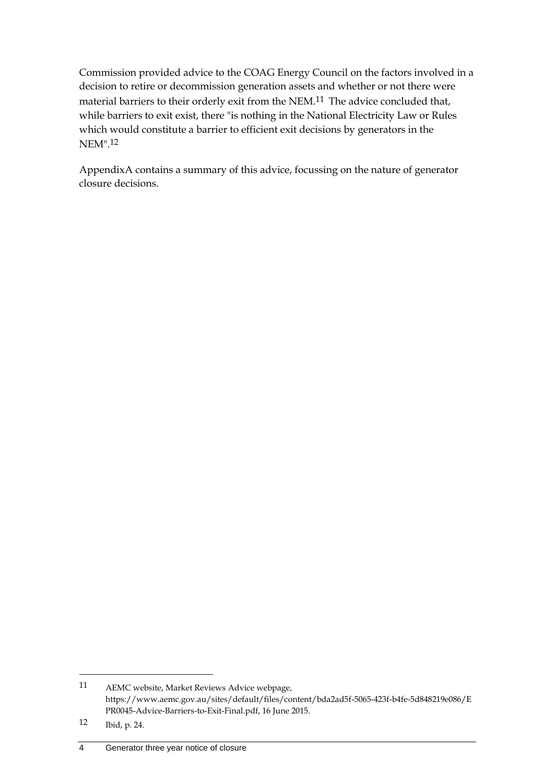Commission provided advice to the COAG Energy Council on the factors involved in a decision to retire or decommission generation assets and whether or not there were material barriers to their orderly exit from the NEM.11 The advice concluded that, while barriers to exit exist, there "is nothing in the National Electricity Law or Rules which would constitute a barrier to efficient exit decisions by generators in the NEM".12

[AppendixA](#page-23-0) contains a summary of this advice, focussing on the nature of generator closure decisions.

<sup>11</sup> AEMC website, Market Reviews Advice webpage, https://www.aemc.gov.au/sites/default/files/content/bda2ad5f-5065-423f-b4fe-5d848219e086/E PR0045-Advice-Barriers-to-Exit-Final.pdf, 16 June 2015.

<sup>12</sup> Ibid, p. 24.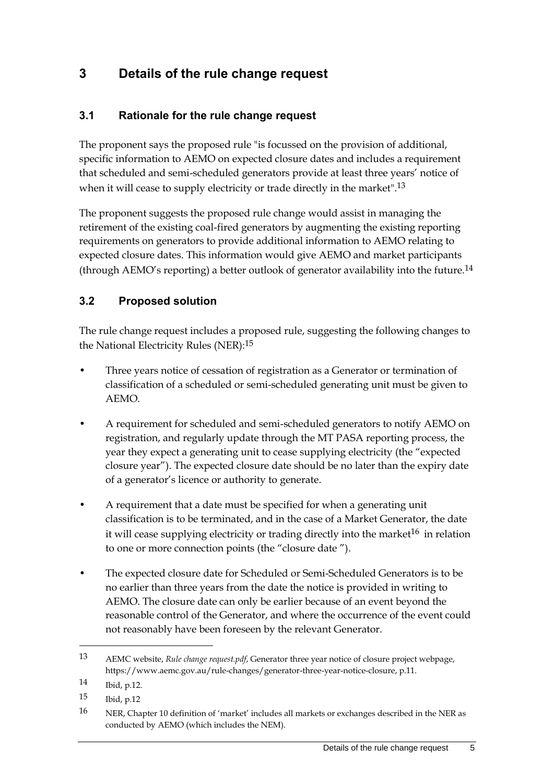## <span id="page-8-0"></span>**3 Details of the rule change request**

### <span id="page-8-1"></span>**3.1 Rationale for the rule change request**

The proponent says the proposed rule "is focussed on the provision of additional, specific information to AEMO on expected closure dates and includes a requirement that scheduled and semi-scheduled generators provide at least three years' notice of when it will cease to supply electricity or trade directly in the market".<sup>13</sup>

The proponent suggests the proposed rule change would assist in managing the retirement of the existing coal-fired generators by augmenting the existing reporting requirements on generators to provide additional information to AEMO relating to expected closure dates. This information would give AEMO and market participants (through AEMO's reporting) a better outlook of generator availability into the future.14

#### <span id="page-8-2"></span>**3.2 Proposed solution**

The rule change request includes a proposed rule, suggesting the following changes to the National Electricity Rules (NER):15

- Three years notice of cessation of registration as a Generator or termination of classification of a scheduled or semi-scheduled generating unit must be given to AEMO.
- A requirement for scheduled and semi-scheduled generators to notify AEMO on registration, and regularly update through the MT PASA reporting process, the year they expect a generating unit to cease supplying electricity (the "expected closure year"). The expected closure date should be no later than the expiry date of a generator's licence or authority to generate.
- A requirement that a date must be specified for when a generating unit classification is to be terminated, and in the case of a Market Generator, the date it will cease supplying electricity or trading directly into the market<sup>16</sup> in relation to one or more connection points (the "closure date ").
- The expected closure date for Scheduled or Semi-Scheduled Generators is to be no earlier than three years from the date the notice is provided in writing to AEMO. The closure date can only be earlier because of an event beyond the reasonable control of the Generator, and where the occurrence of the event could not reasonably have been foreseen by the relevant Generator.

<sup>13</sup> AEMC website, *Rule change request.pdf*, Generator three year notice of closure project webpage, https://www.aemc.gov.au/rule-changes/generator-three-year-notice-closure, p.11.

<sup>14</sup> Ibid, p.12.

<sup>15</sup> Ibid, p.12

<sup>16</sup> NER, Chapter 10 definition of 'market' includes all markets or exchanges described in the NER as conducted by AEMO (which includes the NEM).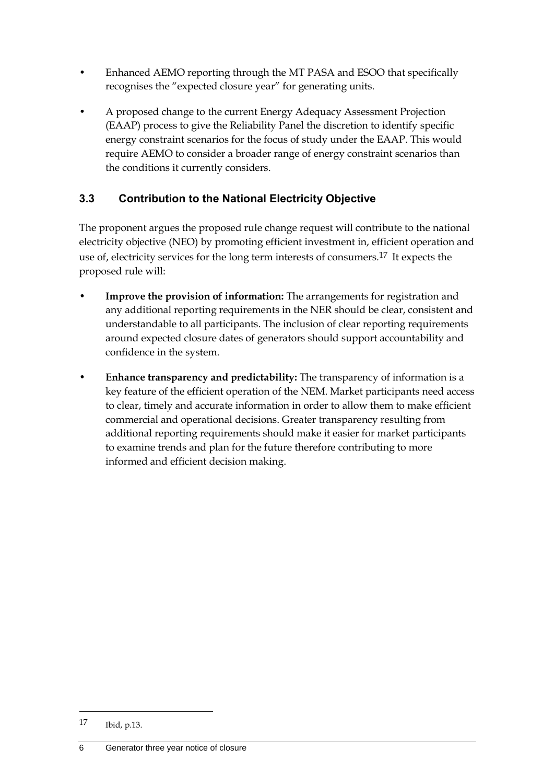- Enhanced AEMO reporting through the MT PASA and ESOO that specifically recognises the "expected closure year" for generating units.
- A proposed change to the current Energy Adequacy Assessment Projection (EAAP) process to give the Reliability Panel the discretion to identify specific energy constraint scenarios for the focus of study under the EAAP. This would require AEMO to consider a broader range of energy constraint scenarios than the conditions it currently considers.

## <span id="page-9-0"></span>**3.3 Contribution to the National Electricity Objective**

The proponent argues the proposed rule change request will contribute to the national electricity objective (NEO) by promoting efficient investment in, efficient operation and use of, electricity services for the long term interests of consumers.<sup>17</sup> It expects the proposed rule will:

- **Improve the provision of information:** The arrangements for registration and any additional reporting requirements in the NER should be clear, consistent and understandable to all participants. The inclusion of clear reporting requirements around expected closure dates of generators should support accountability and confidence in the system.
- **Enhance transparency and predictability:** The transparency of information is a key feature of the efficient operation of the NEM. Market participants need access to clear, timely and accurate information in order to allow them to make efficient commercial and operational decisions. Greater transparency resulting from additional reporting requirements should make it easier for market participants to examine trends and plan for the future therefore contributing to more informed and efficient decision making.

1

<sup>17</sup> Ibid, p.13.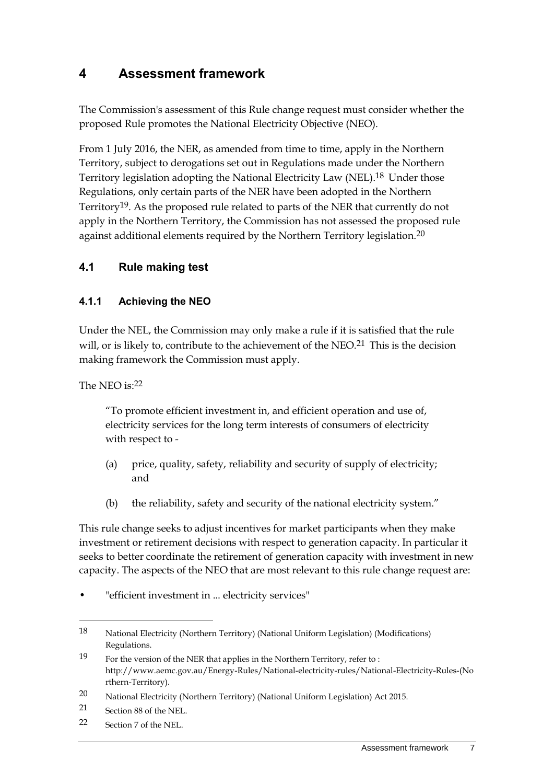## <span id="page-10-0"></span>**4 Assessment framework**

The Commission's assessment of this Rule change request must consider whether the proposed Rule promotes the National Electricity Objective (NEO).

From 1 July 2016, the NER, as amended from time to time, apply in the Northern Territory, subject to derogations set out in Regulations made under the Northern Territory legislation adopting the National Electricity Law (NEL).18 Under those Regulations, only certain parts of the NER have been adopted in the Northern Territory19. As the proposed rule related to parts of the NER that currently do not apply in the Northern Territory, the Commission has not assessed the proposed rule against additional elements required by the Northern Territory legislation.<sup>20</sup>

#### <span id="page-10-1"></span>**4.1 Rule making test**

#### **4.1.1 Achieving the NEO**

Under the NEL, the Commission may only make a rule if it is satisfied that the rule will, or is likely to, contribute to the achievement of the  $NEO<sup>21</sup>$ . This is the decision making framework the Commission must apply.

The NEO is: $22$ 

"To promote efficient investment in, and efficient operation and use of, electricity services for the long term interests of consumers of electricity with respect to -

- (a) price, quality, safety, reliability and security of supply of electricity; and
- (b) the reliability, safety and security of the national electricity system."

This rule change seeks to adjust incentives for market participants when they make investment or retirement decisions with respect to generation capacity. In particular it seeks to better coordinate the retirement of generation capacity with investment in new capacity. The aspects of the NEO that are most relevant to this rule change request are:

"efficient investment in ... electricity services"

<u>.</u>

22 Section 7 of the NEL.

<sup>18</sup> National Electricity (Northern Territory) (National Uniform Legislation) (Modifications) Regulations.

<sup>19</sup> For the version of the NER that applies in the Northern Territory, refer to : http://www.aemc.gov.au/Energy-Rules/National-electricity-rules/National-Electricity-Rules-(No rthern-Territory).

<sup>20</sup> National Electricity (Northern Territory) (National Uniform Legislation) Act 2015.

<sup>21</sup> Section 88 of the NEL.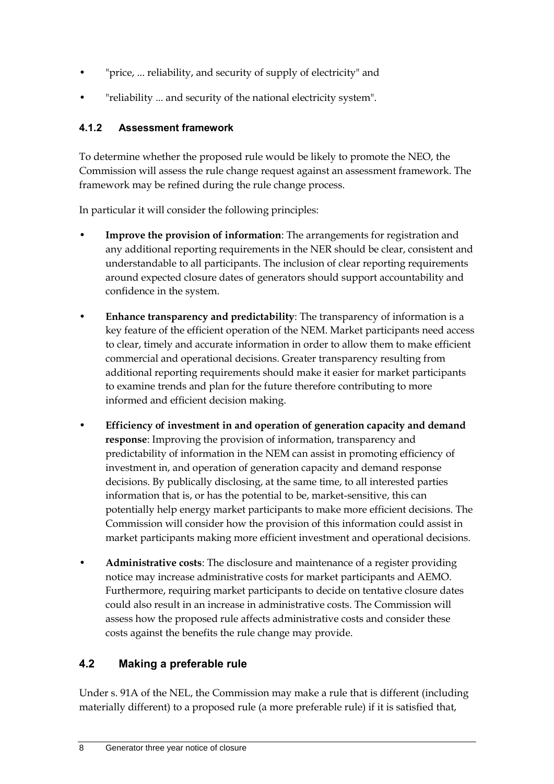- "price, ... reliability, and security of supply of electricity" and
- "reliability ... and security of the national electricity system".

#### **4.1.2 Assessment framework**

To determine whether the proposed rule would be likely to promote the NEO, the Commission will assess the rule change request against an assessment framework. The framework may be refined during the rule change process.

In particular it will consider the following principles:

- **Improve the provision of information**: The arrangements for registration and any additional reporting requirements in the NER should be clear, consistent and understandable to all participants. The inclusion of clear reporting requirements around expected closure dates of generators should support accountability and confidence in the system.
- **Enhance transparency and predictability**: The transparency of information is a key feature of the efficient operation of the NEM. Market participants need access to clear, timely and accurate information in order to allow them to make efficient commercial and operational decisions. Greater transparency resulting from additional reporting requirements should make it easier for market participants to examine trends and plan for the future therefore contributing to more informed and efficient decision making.
- **Efficiency of investment in and operation of generation capacity and demand response**: Improving the provision of information, transparency and predictability of information in the NEM can assist in promoting efficiency of investment in, and operation of generation capacity and demand response decisions. By publically disclosing, at the same time, to all interested parties information that is, or has the potential to be, market-sensitive, this can potentially help energy market participants to make more efficient decisions. The Commission will consider how the provision of this information could assist in market participants making more efficient investment and operational decisions.
- **Administrative costs**: The disclosure and maintenance of a register providing notice may increase administrative costs for market participants and AEMO. Furthermore, requiring market participants to decide on tentative closure dates could also result in an increase in administrative costs. The Commission will assess how the proposed rule affects administrative costs and consider these costs against the benefits the rule change may provide.

## <span id="page-11-0"></span>**4.2 Making a preferable rule**

Under s. 91A of the NEL, the Commission may make a rule that is different (including materially different) to a proposed rule (a more preferable rule) if it is satisfied that,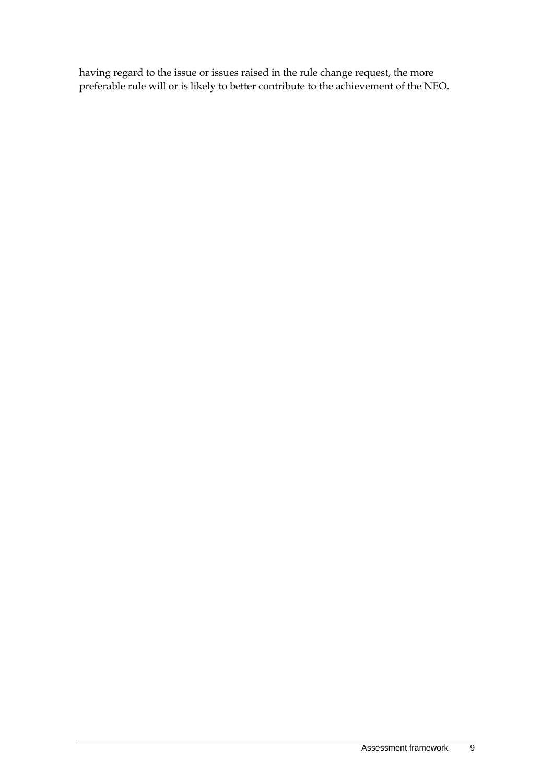having regard to the issue or issues raised in the rule change request, the more preferable rule will or is likely to better contribute to the achievement of the NEO.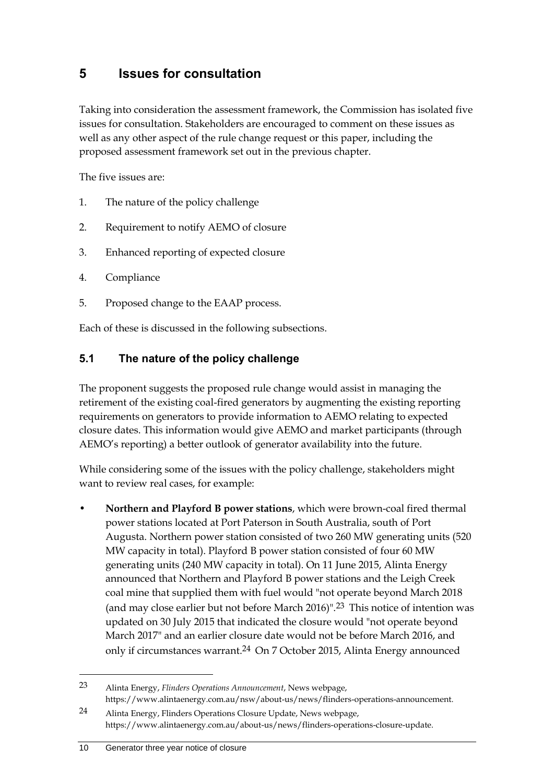## <span id="page-13-0"></span>**5 Issues for consultation**

Taking into consideration the assessment framework, the Commission has isolated five issues for consultation. Stakeholders are encouraged to comment on these issues as well as any other aspect of the rule change request or this paper, including the proposed assessment framework set out in the previous chapter.

The five issues are:

- 1. The nature of the policy challenge
- 2. Requirement to notify AEMO of closure
- 3. Enhanced reporting of expected closure
- 4. Compliance
- 5. Proposed change to the EAAP process.

Each of these is discussed in the following subsections.

### <span id="page-13-1"></span>**5.1 The nature of the policy challenge**

The proponent suggests the proposed rule change would assist in managing the retirement of the existing coal-fired generators by augmenting the existing reporting requirements on generators to provide information to AEMO relating to expected closure dates. This information would give AEMO and market participants (through AEMO's reporting) a better outlook of generator availability into the future.

While considering some of the issues with the policy challenge, stakeholders might want to review real cases, for example:

• **Northern and Playford B power stations**, which were brown-coal fired thermal power stations located at Port Paterson in South Australia, south of Port Augusta. Northern power station consisted of two 260 MW generating units (520 MW capacity in total). Playford B power station consisted of four 60 MW generating units (240 MW capacity in total). On 11 June 2015, Alinta Energy announced that Northern and Playford B power stations and the Leigh Creek coal mine that supplied them with fuel would "not operate beyond March 2018 (and may close earlier but not before March 2016)".23 This notice of intention was updated on 30 July 2015 that indicated the closure would "not operate beyond March 2017" and an earlier closure date would not be before March 2016, and only if circumstances warrant.24 On 7 October 2015, Alinta Energy announced

<sup>23</sup> Alinta Energy, *Flinders Operations Announcement*, News webpage, https://www.alintaenergy.com.au/nsw/about-us/news/flinders-operations-announcement.

<sup>24</sup> Alinta Energy, Flinders Operations Closure Update, News webpage, https://www.alintaenergy.com.au/about-us/news/flinders-operations-closure-update.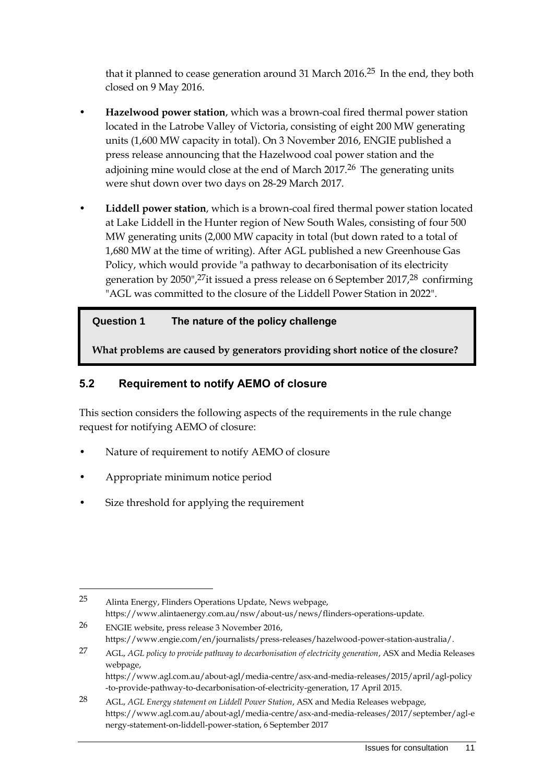that it planned to cease generation around 31 March 2016.<sup>25</sup> In the end, they both closed on 9 May 2016.

- **Hazelwood power station**, which was a brown-coal fired thermal power station located in the Latrobe Valley of Victoria, consisting of eight 200 MW generating units (1,600 MW capacity in total). On 3 November 2016, ENGIE published a press release announcing that the Hazelwood coal power station and the adjoining mine would close at the end of March  $2017<sup>26</sup>$  The generating units were shut down over two days on 28-29 March 2017.
- **Liddell power station**, which is a brown-coal fired thermal power station located at Lake Liddell in the Hunter region of New South Wales, consisting of four 500 MW generating units (2,000 MW capacity in total (but down rated to a total of 1,680 MW at the time of writing). After AGL published a new Greenhouse Gas Policy, which would provide "a pathway to decarbonisation of its electricity generation by 2050",<sup>27</sup>it issued a press release on 6 September 2017,<sup>28</sup> confirming "AGL was committed to the closure of the Liddell Power Station in 2022".

#### **Question 1 The nature of the policy challenge**

**What problems are caused by generators providing short notice of the closure?**

#### <span id="page-14-0"></span>**5.2 Requirement to notify AEMO of closure**

This section considers the following aspects of the requirements in the rule change request for notifying AEMO of closure:

- Nature of requirement to notify AEMO of closure
- Appropriate minimum notice period

<u>.</u>

Size threshold for applying the requirement

26 ENGIE website, press release 3 November 2016, https://www.engie.com/en/journalists/press-releases/hazelwood-power-station-australia/.

<sup>25</sup> Alinta Energy, Flinders Operations Update, News webpage, https://www.alintaenergy.com.au/nsw/about-us/news/flinders-operations-update.

<sup>27</sup> AGL, *AGL policy to provide pathway to decarbonisation of electricity generation*, ASX and Media Releases webpage, https://www.agl.com.au/about-agl/media-centre/asx-and-media-releases/2015/april/agl-policy

<sup>-</sup>to-provide-pathway-to-decarbonisation-of-electricity-generation, 17 April 2015. 28 AGL, *AGL Energy statement on Liddell Power Station*, ASX and Media Releases webpage,

https://www.agl.com.au/about-agl/media-centre/asx-and-media-releases/2017/september/agl-e nergy-statement-on-liddell-power-station, 6 September 2017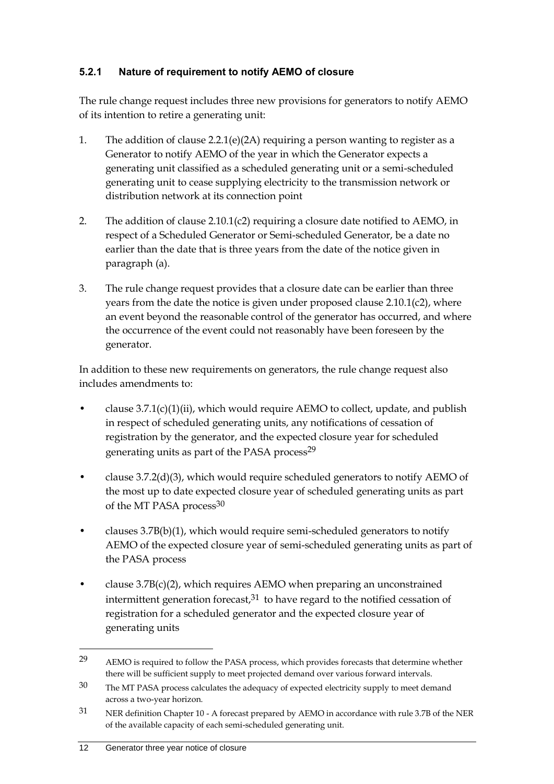#### **5.2.1 Nature of requirement to notify AEMO of closure**

The rule change request includes three new provisions for generators to notify AEMO of its intention to retire a generating unit:

- 1. The addition of clause 2.2.1(e)(2A) requiring a person wanting to register as a Generator to notify AEMO of the year in which the Generator expects a generating unit classified as a scheduled generating unit or a semi-scheduled generating unit to cease supplying electricity to the transmission network or distribution network at its connection point
- 2. The addition of clause 2.10.1(c2) requiring a closure date notified to AEMO, in respect of a Scheduled Generator or Semi-scheduled Generator, be a date no earlier than the date that is three years from the date of the notice given in paragraph (a).
- 3. The rule change request provides that a closure date can be earlier than three years from the date the notice is given under proposed clause 2.10.1(c2), where an event beyond the reasonable control of the generator has occurred, and where the occurrence of the event could not reasonably have been foreseen by the generator.

In addition to these new requirements on generators, the rule change request also includes amendments to:

- clause  $3.7.1(c)(1)(ii)$ , which would require AEMO to collect, update, and publish in respect of scheduled generating units, any notifications of cessation of registration by the generator, and the expected closure year for scheduled generating units as part of the PASA process<sup>29</sup>
- clause 3.7.2(d)(3), which would require scheduled generators to notify AEMO of the most up to date expected closure year of scheduled generating units as part of the MT PASA process<sup>30</sup>
- clauses 3.7B(b)(1), which would require semi-scheduled generators to notify AEMO of the expected closure year of semi-scheduled generating units as part of the PASA process
- clause 3.7B(c)(2), which requires AEMO when preparing an unconstrained intermittent generation forecast, $31$  to have regard to the notified cessation of registration for a scheduled generator and the expected closure year of generating units

<sup>29</sup> AEMO is required to follow the PASA process, which provides forecasts that determine whether there will be sufficient supply to meet projected demand over various forward intervals.

<sup>30</sup> The MT PASA process calculates the adequacy of expected electricity supply to meet demand across a two-year horizon.

<sup>31</sup> NER definition Chapter 10 - A forecast prepared by AEMO in accordance with rule 3.7B of the NER of the available capacity of each semi-scheduled generating unit.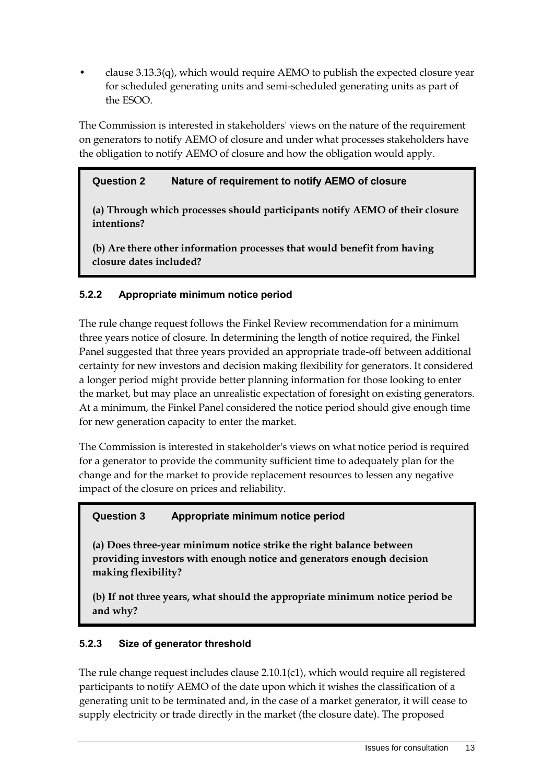clause  $3.13.3(q)$ , which would require AEMO to publish the expected closure year for scheduled generating units and semi-scheduled generating units as part of the ESOO.

The Commission is interested in stakeholders' views on the nature of the requirement on generators to notify AEMO of closure and under what processes stakeholders have the obligation to notify AEMO of closure and how the obligation would apply.

### **Question 2 Nature of requirement to notify AEMO of closure**

**(a) Through which processes should participants notify AEMO of their closure intentions?**

**(b) Are there other information processes that would benefit from having closure dates included?** 

### **5.2.2 Appropriate minimum notice period**

The rule change request follows the Finkel Review recommendation for a minimum three years notice of closure. In determining the length of notice required, the Finkel Panel suggested that three years provided an appropriate trade-off between additional certainty for new investors and decision making flexibility for generators. It considered a longer period might provide better planning information for those looking to enter the market, but may place an unrealistic expectation of foresight on existing generators. At a minimum, the Finkel Panel considered the notice period should give enough time for new generation capacity to enter the market.

The Commission is interested in stakeholder's views on what notice period is required for a generator to provide the community sufficient time to adequately plan for the change and for the market to provide replacement resources to lessen any negative impact of the closure on prices and reliability.

### **Question 3 Appropriate minimum notice period**

**(a) Does three-year minimum notice strike the right balance between providing investors with enough notice and generators enough decision making flexibility?** 

**(b) If not three years, what should the appropriate minimum notice period be and why?**

### **5.2.3 Size of generator threshold**

The rule change request includes clause 2.10.1(c1), which would require all registered participants to notify AEMO of the date upon which it wishes the classification of a generating unit to be terminated and, in the case of a market generator, it will cease to supply electricity or trade directly in the market (the closure date). The proposed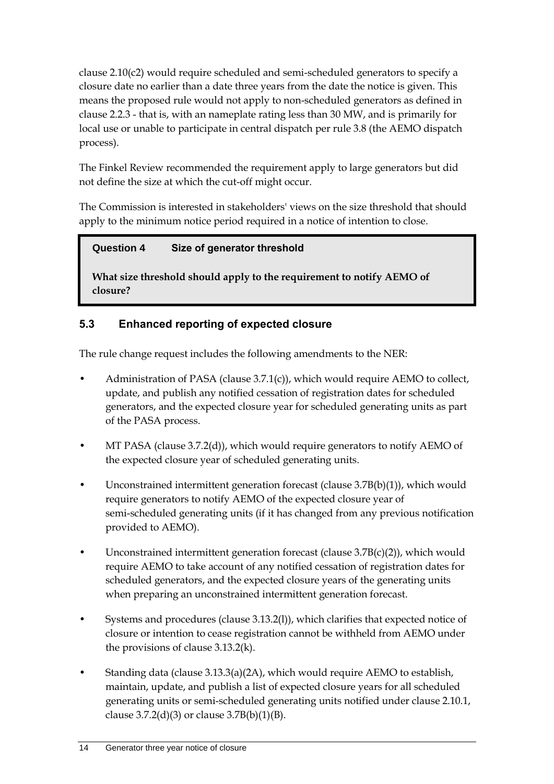clause 2.10(c2) would require scheduled and semi-scheduled generators to specify a closure date no earlier than a date three years from the date the notice is given. This means the proposed rule would not apply to non-scheduled generators as defined in clause 2.2.3 - that is, with an nameplate rating less than 30 MW, and is primarily for local use or unable to participate in central dispatch per rule 3.8 (the AEMO dispatch process).

The Finkel Review recommended the requirement apply to large generators but did not define the size at which the cut-off might occur.

The Commission is interested in stakeholders' views on the size threshold that should apply to the minimum notice period required in a notice of intention to close.

### **Question 4 Size of generator threshold**

**What size threshold should apply to the requirement to notify AEMO of closure?**

## <span id="page-17-0"></span>**5.3 Enhanced reporting of expected closure**

The rule change request includes the following amendments to the NER:

- Administration of PASA (clause 3.7.1(c)), which would require AEMO to collect, update, and publish any notified cessation of registration dates for scheduled generators, and the expected closure year for scheduled generating units as part of the PASA process.
- MT PASA (clause 3.7.2(d)), which would require generators to notify AEMO of the expected closure year of scheduled generating units.
- Unconstrained intermittent generation forecast (clause  $3.7B(b)(1)$ ), which would require generators to notify AEMO of the expected closure year of semi-scheduled generating units (if it has changed from any previous notification provided to AEMO).
- Unconstrained intermittent generation forecast (clause  $3.7B(c)(2)$ ), which would require AEMO to take account of any notified cessation of registration dates for scheduled generators, and the expected closure years of the generating units when preparing an unconstrained intermittent generation forecast.
- Systems and procedures (clause 3.13.2(l)), which clarifies that expected notice of closure or intention to cease registration cannot be withheld from AEMO under the provisions of clause 3.13.2(k).
- Standing data (clause 3.13.3(a)(2A), which would require AEMO to establish, maintain, update, and publish a list of expected closure years for all scheduled generating units or semi-scheduled generating units notified under clause 2.10.1, clause  $3.7.2(d)(3)$  or clause  $3.7B(b)(1)(B)$ .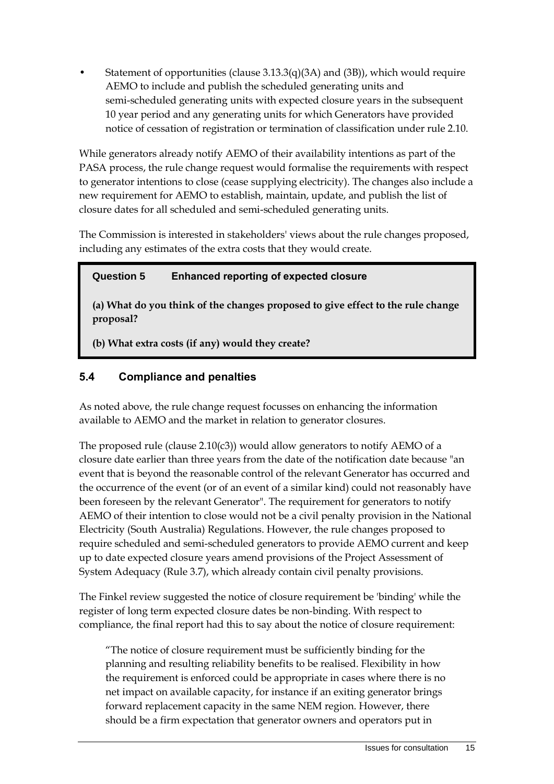Statement of opportunities (clause  $3.13.3(q)(3A)$  and  $(3B)$ ), which would require AEMO to include and publish the scheduled generating units and semi-scheduled generating units with expected closure years in the subsequent 10 year period and any generating units for which Generators have provided notice of cessation of registration or termination of classification under rule 2.10.

While generators already notify AEMO of their availability intentions as part of the PASA process, the rule change request would formalise the requirements with respect to generator intentions to close (cease supplying electricity). The changes also include a new requirement for AEMO to establish, maintain, update, and publish the list of closure dates for all scheduled and semi-scheduled generating units.

The Commission is interested in stakeholders' views about the rule changes proposed, including any estimates of the extra costs that they would create.

#### **Question 5 Enhanced reporting of expected closure**

**(a) What do you think of the changes proposed to give effect to the rule change proposal?**

**(b) What extra costs (if any) would they create?**

### <span id="page-18-0"></span>**5.4 Compliance and penalties**

As noted above, the rule change request focusses on enhancing the information available to AEMO and the market in relation to generator closures.

The proposed rule (clause 2.10(c3)) would allow generators to notify AEMO of a closure date earlier than three years from the date of the notification date because "an event that is beyond the reasonable control of the relevant Generator has occurred and the occurrence of the event (or of an event of a similar kind) could not reasonably have been foreseen by the relevant Generator". The requirement for generators to notify AEMO of their intention to close would not be a civil penalty provision in the National Electricity (South Australia) Regulations. However, the rule changes proposed to require scheduled and semi-scheduled generators to provide AEMO current and keep up to date expected closure years amend provisions of the Project Assessment of System Adequacy (Rule 3.7), which already contain civil penalty provisions.

The Finkel review suggested the notice of closure requirement be 'binding' while the register of long term expected closure dates be non-binding. With respect to compliance, the final report had this to say about the notice of closure requirement:

"The notice of closure requirement must be sufficiently binding for the planning and resulting reliability benefits to be realised. Flexibility in how the requirement is enforced could be appropriate in cases where there is no net impact on available capacity, for instance if an exiting generator brings forward replacement capacity in the same NEM region. However, there should be a firm expectation that generator owners and operators put in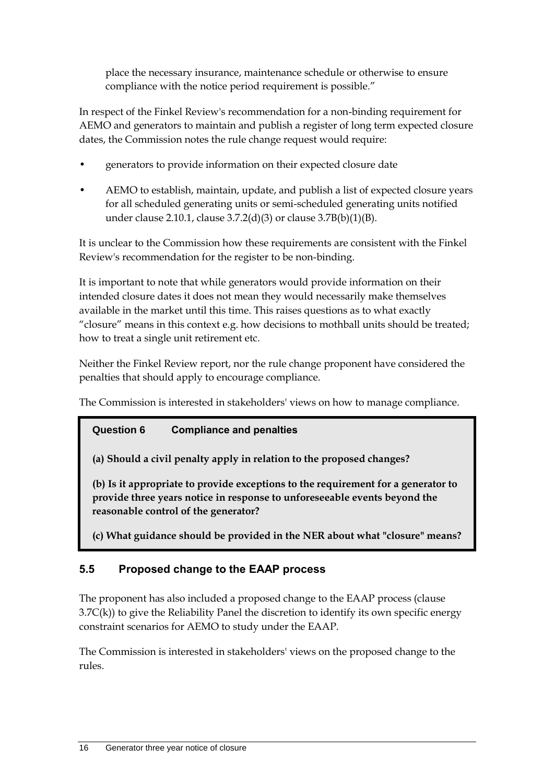place the necessary insurance, maintenance schedule or otherwise to ensure compliance with the notice period requirement is possible."

In respect of the Finkel Review's recommendation for a non-binding requirement for AEMO and generators to maintain and publish a register of long term expected closure dates, the Commission notes the rule change request would require:

- generators to provide information on their expected closure date
- AEMO to establish, maintain, update, and publish a list of expected closure years for all scheduled generating units or semi-scheduled generating units notified under clause 2.10.1, clause 3.7.2(d)(3) or clause 3.7B(b)(1)(B).

It is unclear to the Commission how these requirements are consistent with the Finkel Review's recommendation for the register to be non-binding.

It is important to note that while generators would provide information on their intended closure dates it does not mean they would necessarily make themselves available in the market until this time. This raises questions as to what exactly "closure" means in this context e.g. how decisions to mothball units should be treated; how to treat a single unit retirement etc.

Neither the Finkel Review report, nor the rule change proponent have considered the penalties that should apply to encourage compliance.

The Commission is interested in stakeholders' views on how to manage compliance.

## **Question 6 Compliance and penalties**

**(a) Should a civil penalty apply in relation to the proposed changes?**

**(b) Is it appropriate to provide exceptions to the requirement for a generator to provide three years notice in response to unforeseeable events beyond the reasonable control of the generator?**

**(c) What guidance should be provided in the NER about what "closure" means?**

## <span id="page-19-0"></span>**5.5 Proposed change to the EAAP process**

The proponent has also included a proposed change to the EAAP process (clause  $3.7C(k)$ ) to give the Reliability Panel the discretion to identify its own specific energy constraint scenarios for AEMO to study under the EAAP.

The Commission is interested in stakeholders' views on the proposed change to the rules.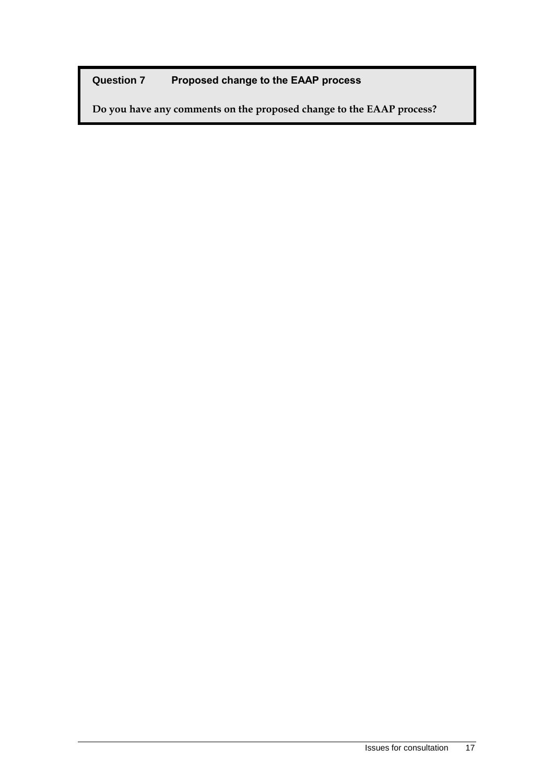## **Question 7 Proposed change to the EAAP process**

**Do you have any comments on the proposed change to the EAAP process?**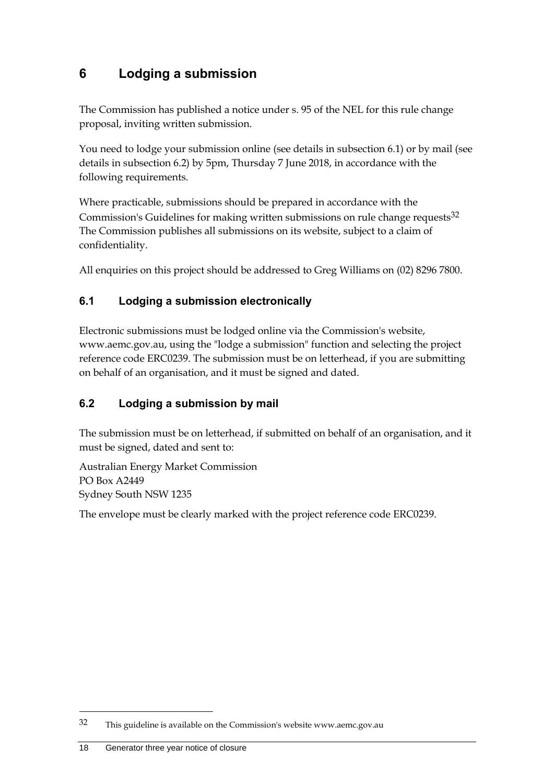## <span id="page-21-0"></span>**6 Lodging a submission**

The Commission has published a notice under s. 95 of the NEL for this rule change proposal, inviting written submission.

You need to lodge your submission online (see details in subsection 6.1) or by mail (see details in subsection 6.2) by 5pm, Thursday 7 June 2018, in accordance with the following requirements.

Where practicable, submissions should be prepared in accordance with the Commission's Guidelines for making written submissions on rule change requests<sup>32</sup> The Commission publishes all submissions on its website, subject to a claim of confidentiality.

All enquiries on this project should be addressed to Greg Williams on (02) 8296 7800.

## <span id="page-21-1"></span>**6.1 Lodging a submission electronically**

Electronic submissions must be lodged online via the Commission's website, www.aemc.gov.au, using the "lodge a submission" function and selecting the project reference code ERC0239. The submission must be on letterhead, if you are submitting on behalf of an organisation, and it must be signed and dated.

## <span id="page-21-2"></span>**6.2 Lodging a submission by mail**

The submission must be on letterhead, if submitted on behalf of an organisation, and it must be signed, dated and sent to:

Australian Energy Market Commission PO Box A2449 Sydney South NSW 1235

The envelope must be clearly marked with the project reference code ERC0239.

1

<sup>32</sup> This guideline is available on the Commission's website www.aemc.gov.au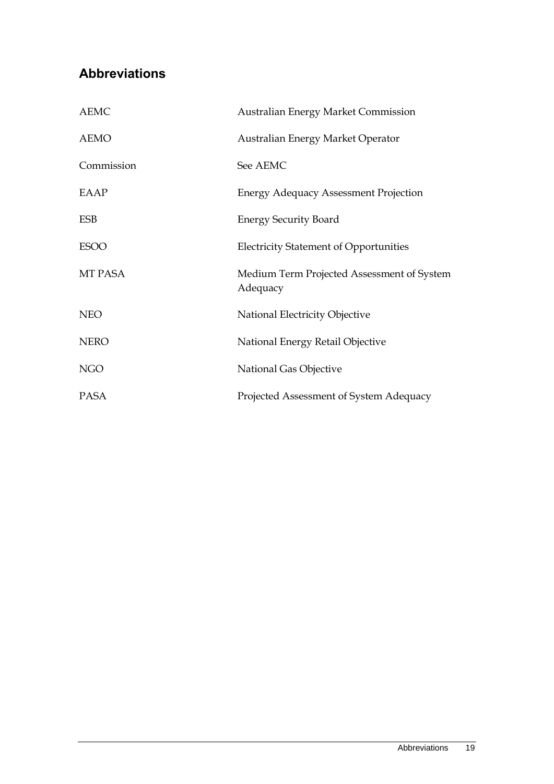## <span id="page-22-0"></span>**Abbreviations**

| <b>AEMC</b> | <b>Australian Energy Market Commission</b>             |
|-------------|--------------------------------------------------------|
| <b>AEMO</b> | Australian Energy Market Operator                      |
| Commission  | See AEMC                                               |
| EAAP        | <b>Energy Adequacy Assessment Projection</b>           |
| <b>ESB</b>  | <b>Energy Security Board</b>                           |
| <b>ESOO</b> | <b>Electricity Statement of Opportunities</b>          |
| MT PASA     | Medium Term Projected Assessment of System<br>Adequacy |
| <b>NEO</b>  | National Electricity Objective                         |
| <b>NERO</b> | National Energy Retail Objective                       |
| <b>NGO</b>  | National Gas Objective                                 |
| <b>PASA</b> | Projected Assessment of System Adequacy                |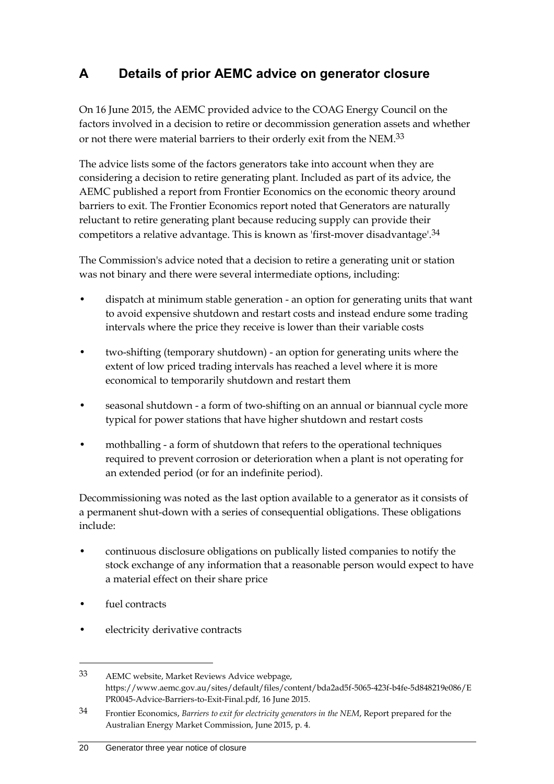## <span id="page-23-0"></span>**A Details of prior AEMC advice on generator closure**

On 16 June 2015, the AEMC provided advice to the COAG Energy Council on the factors involved in a decision to retire or decommission generation assets and whether or not there were material barriers to their orderly exit from the NEM.33

The advice lists some of the factors generators take into account when they are considering a decision to retire generating plant. Included as part of its advice, the AEMC published a report from Frontier Economics on the economic theory around barriers to exit. The Frontier Economics report noted that Generators are naturally reluctant to retire generating plant because reducing supply can provide their competitors a relative advantage. This is known as 'first-mover disadvantage'.34

The Commission's advice noted that a decision to retire a generating unit or station was not binary and there were several intermediate options, including:

- dispatch at minimum stable generation an option for generating units that want to avoid expensive shutdown and restart costs and instead endure some trading intervals where the price they receive is lower than their variable costs
- two-shifting (temporary shutdown) an option for generating units where the extent of low priced trading intervals has reached a level where it is more economical to temporarily shutdown and restart them
- seasonal shutdown a form of two-shifting on an annual or biannual cycle more typical for power stations that have higher shutdown and restart costs
- mothballing a form of shutdown that refers to the operational techniques required to prevent corrosion or deterioration when a plant is not operating for an extended period (or for an indefinite period).

Decommissioning was noted as the last option available to a generator as it consists of a permanent shut-down with a series of consequential obligations. These obligations include:

- continuous disclosure obligations on publically listed companies to notify the stock exchange of any information that a reasonable person would expect to have a material effect on their share price
- fuel contracts

<u>.</u>

electricity derivative contracts

<sup>33</sup> AEMC website, Market Reviews Advice webpage, https://www.aemc.gov.au/sites/default/files/content/bda2ad5f-5065-423f-b4fe-5d848219e086/E PR0045-Advice-Barriers-to-Exit-Final.pdf, 16 June 2015.

<sup>34</sup> Frontier Economics, *Barriers to exit for electricity generators in the NEM*, Report prepared for the Australian Energy Market Commission, June 2015, p. 4.